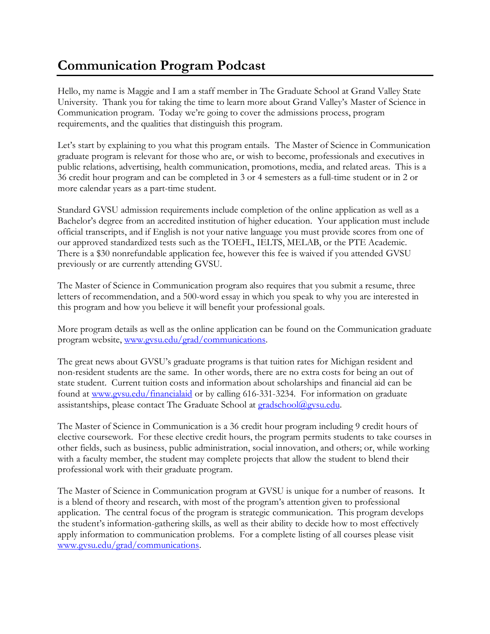## **Communication Program Podcast**

Hello, my name is Maggie and I am a staff member in The Graduate School at Grand Valley State University. Thank you for taking the time to learn more about Grand Valley's Master of Science in Communication program. Today we're going to cover the admissions process, program requirements, and the qualities that distinguish this program.

Let's start by explaining to you what this program entails. The Master of Science in Communication graduate program is relevant for those who are, or wish to become, professionals and executives in public relations, advertising, health communication, promotions, media, and related areas. This is a 36 credit hour program and can be completed in 3 or 4 semesters as a full-time student or in 2 or more calendar years as a part-time student.

Standard GVSU admission requirements include completion of the online application as well as a Bachelor's degree from an accredited institution of higher education. Your application must include official transcripts, and if English is not your native language you must provide scores from one of our approved standardized tests such as the TOEFL, IELTS, MELAB, or the PTE Academic. There is a \$30 nonrefundable application fee, however this fee is waived if you attended GVSU previously or are currently attending GVSU.

The Master of Science in Communication program also requires that you submit a resume, three letters of recommendation, and a 500-word essay in which you speak to why you are interested in this program and how you believe it will benefit your professional goals.

More program details as well as the online application can be found on the Communication graduate program website, [www.gvsu.edu/grad/communications.](http://www.gvsu.edu/grad/communications)

The great news about GVSU's graduate programs is that tuition rates for Michigan resident and non-resident students are the same. In other words, there are no extra costs for being an out of state student. Current tuition costs and information about scholarships and financial aid can be found at [www.gvsu.edu/financialaid](http://www.gvsu.edu/financialaid) or by calling 616-331-3234. For information on graduate assistantships, please contact The Graduate School at [gradschool@gvsu.edu.](mailto:gradschool@gvsu.edu)

The Master of Science in Communication is a 36 credit hour program including 9 credit hours of elective coursework. For these elective credit hours, the program permits students to take courses in other fields, such as business, public administration, social innovation, and others; or, while working with a faculty member, the student may complete projects that allow the student to blend their professional work with their graduate program.

The Master of Science in Communication program at GVSU is unique for a number of reasons. It is a blend of theory and research, with most of the program's attention given to professional application. The central focus of the program is strategic communication. This program develops the student's information-gathering skills, as well as their ability to decide how to most effectively apply information to communication problems. For a complete listing of all courses please visit [www.gvsu.edu/grad/communications.](http://www.gvsu.edu/grad/communications)